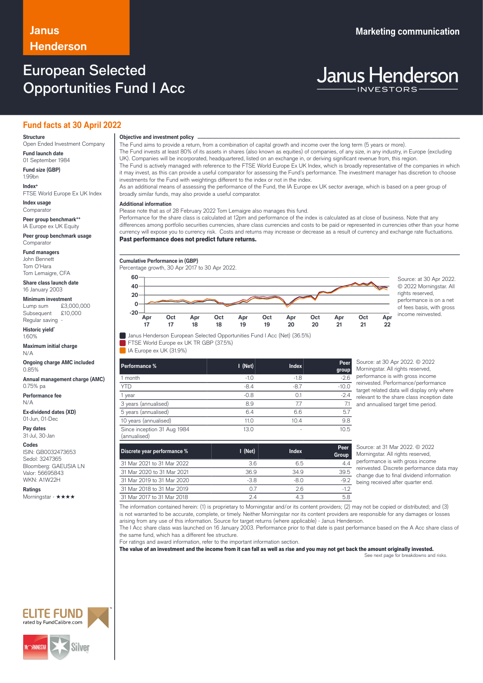## **Henderson**

### European Selected Opportunities Fund I Acc

# **Janus Henderson**

### **Fund facts at 30 April 2022**

### **Structure**

Open Ended Investment Company **Fund launch date**

01 September 1984 **Fund size (GBP)** 1.99bn

**Index+** FTSE World Europe Ex UK Index

**Index usage Comparator** 

**Peer group benchmark++** IA Europe ex UK Equity

**Peer group benchmark usage** Comparator

**Fund managers** John Bennett Tom O'Hara

Tom Lemaigre, CFA **Share class launch date**

16 January 2003 **Minimum investment**<br>Lump sum £3,000,000

Lump sum Subsequent £10,000 Regular saving -

**Historic yield\*** 1.60%

**Maximum initial charge** N/A

**Ongoing charge AMC included** 0.85%

**Annual management charge (AMC)** 0.75% pa

**Performance fee** N/A

**Ex-dividend dates (XD)** 01-Jun, 01-Dec

**Pay dates** 31-Jul, 30-Jan

**Codes**

ISIN: GB0032473653 Sedol: 3247365 Bloomberg: GAEUSIA LN Valor: 56695843 WKN: A1W22H

**Ratings** Morningstar - ★★★★ investments for the Fund with weightings different to the index or not in the index. As an additional means of assessing the performance of the Fund, the IA Europe ex UK sector average, which is based on a peer group of broadly similar funds, may also provide a useful comparator.

### … **Additional information**

Please note that as of 28 February 2022 Tom Lemaigre also manages this fund.

Performance for the share class is calculated at 12pm and performance of the index is calculated as at close of business. Note that any differences among portfolio securities currencies, share class currencies and costs to be paid or represented in currencies other than your home currency will expose you to currency risk. Costs and returns may increase or decrease as a result of currency and exchange rate fluctuations. Past performance does not predict future returns.

The Fund invests at least 80% of its assets in shares (also known as equities) of companies, of any size, in any industry, in Europe (excluding

The Fund is actively managed with reference to the FTSE World Europe Ex UK Index, which is broadly representative of the companies in which it may invest, as this can provide a useful comparator for assessing the Fund's performance. The investment manager has discretion to choose

**Cumulative Performance in (GBP)**

Percentage growth, 30 Apr 2017 to 30 Apr 2022. **Apr 17 Oct 17 Apr 18 Oct 18 Apr 19 Oct 19 Apr 20 Oct 20 Apr 21 Oct 21 Apr 22 -20 0 20 40 60** Source: at 30 Apr 2022.

The Fund aims to provide a return, from a combination of capital growth and income over the long term (5 years or more).

UK). Companies will be incorporated, headquartered, listed on an exchange in, or deriving significant revenue from, this region.

© 2022 Morningstar. All rights reserved, performance is on a net of fees basis, with gross income reinvested.

**Objective and investment policy** ────────────────────────────────────────────────────────────────────────────────────────────────────────────────────────────────────────────────────────────────────────────────────────────────────────────────────────────────────────────────────────────────────────────────────────────────────────────────────────────────────────────────────────────────────────────────────────────────────────────────────────────────────────────────────────────────────────────────────────────────────────────────────



 $\blacksquare$  IA Europe ex UK (31.9%)

| Performance %                               | $I$ (Net) | <b>Index</b> | Peer<br>group |
|---------------------------------------------|-----------|--------------|---------------|
| 1 month                                     | $-1.0$    | $-1.8$       | $-2.6$        |
| <b>YTD</b>                                  | $-8.4$    | $-8.7$       | $-10.0$       |
| 1 year                                      | $-0.8$    | 0.1          | $-2.4$        |
| 3 years (annualised)                        | 8.9       | 7.7          | 7.1           |
| 5 years (annualised)                        | 6.4       | 6.6          | 5.7           |
| 10 years (annualised)                       | 11.0      | 10.4         | 9.8           |
| Since inception 31 Aug 1984<br>(annualised) | 13.0      | ٠            | 10.5          |

Source: at 30 Apr 2022. © 2022 Morningstar. All rights reserved, performance is with gross income reinvested. Performance/performance target related data will display only where relevant to the share class inception date and annualised target time period.

| Discrete year performance % | $I$ (Net) | Index  | Peer<br>Group |
|-----------------------------|-----------|--------|---------------|
| 31 Mar 2021 to 31 Mar 2022  | 3.6       | 6.5    | 4.4           |
| 31 Mar 2020 to 31 Mar 2021  | 36.9      | 34.9   | 39.5          |
| 31 Mar 2019 to 31 Mar 2020  | $-3.8$    | $-8.0$ | $-9.2$        |
| 31 Mar 2018 to 31 Mar 2019  | 07        | 26     | $-1.2$        |
| 31 Mar 2017 to 31 Mar 2018  | 24        | 4.3    | 5.8           |

Source: at 31 Mar 2022. © 2022 Morningstar. All rights reserved, performance is with gross income reinvested. Discrete performance data may change due to final dividend information being received after quarter end.

The information contained herein: (1) is proprietary to Morningstar and/or its content providers; (2) may not be copied or distributed; and (3) is not warranted to be accurate, complete, or timely. Neither Morningstar nor its content providers are responsible for any damages or losses arising from any use of this information. Source for target returns (where applicable) - Janus Henderson.

The I Acc share class was launched on 16 January 2003. Performance prior to that date is past performance based on the A Acc share class of the same fund, which has a different fee structure.

For ratings and award information, refer to the important information section.

The value of an investment and the income from it can fall as well as rise and you may not get back the amount originally invested.

See next page for breakdowns and risks.



**Janus Marketing communication**